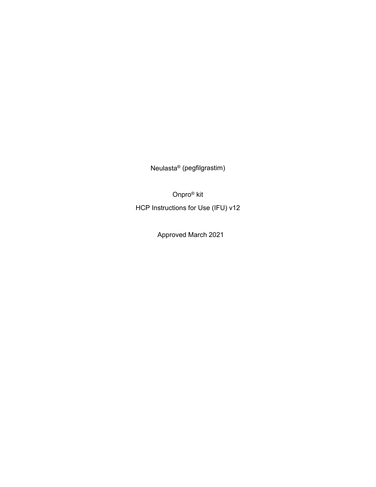Neulasta® (pegfilgrastim)

Onpro® kit

HCP Instructions for Use (IFU) v12

Approved March 2021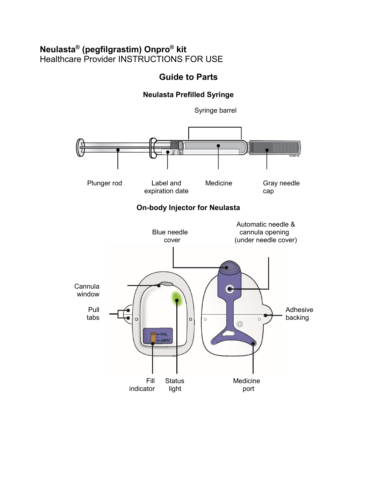# **Neulasta® (pegfilgrastim) Onpro® kit** Healthcare Provider INSTRUCTIONS FOR USE

# **Guide to Parts**

# **Neulasta Prefilled Syringe**

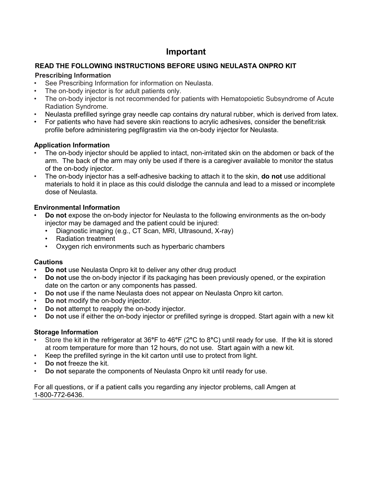# **Important**

## **READ THE FOLLOWING INSTRUCTIONS BEFORE USING NEULASTA ONPRO KIT**

## **Prescribing Information**

- See Prescribing Information for information on Neulasta.
- The on-body injector is for adult patients only.
- The on-body injector is not recommended for patients with Hematopoietic Subsyndrome of Acute Radiation Syndrome.
- Neulasta prefilled syringe gray needle cap contains dry natural rubber, which is derived from latex.
- For patients who have had severe skin reactions to acrylic adhesives, consider the benefit:risk profile before administering pegfilgrastim via the on-body injector for Neulasta.

## **Application Information**

- The on-body injector should be applied to intact, non-irritated skin on the abdomen or back of the arm. The back of the arm may only be used if there is a caregiver available to monitor the status of the on-body injector.
- The on-body injector has a self-adhesive backing to attach it to the skin, **do not** use additional materials to hold it in place as this could dislodge the cannula and lead to a missed or incomplete dose of Neulasta.

# **Environmental Information**

- **Do not** expose the on-body injector for Neulasta to the following environments as the on-body injector may be damaged and the patient could be injured:
	- Diagnostic imaging (e.g., CT Scan, MRI, Ultrasound, X-ray)
	- Radiation treatment
	- Oxygen rich environments such as hyperbaric chambers

## **Cautions**

- **Do not** use Neulasta Onpro kit to deliver any other drug product
- **Do not** use the on-body injector if its packaging has been previously opened, or the expiration date on the carton or any components has passed.
- **Do not** use if the name Neulasta does not appear on Neulasta Onpro kit carton.
- **Do not** modify the on-body injector.
- **Do not** attempt to reapply the on-body injector.
- **Do not** use if either the on-body injector or prefilled syringe is dropped. Start again with a new kit

## **Storage Information**

- Store the kit in the refrigerator at 36**°**F to 46**°**F (2**°**C to 8**°**C) until ready for use. If the kit is stored at room temperature for more than 12 hours, do not use. Start again with a new kit.
- Keep the prefilled syringe in the kit carton until use to protect from light.
- **Do not** freeze the kit.
- **Do not** separate the components of Neulasta Onpro kit until ready for use.

For all questions, or if a patient calls you regarding any injector problems, call Amgen at 1-800-772-6436.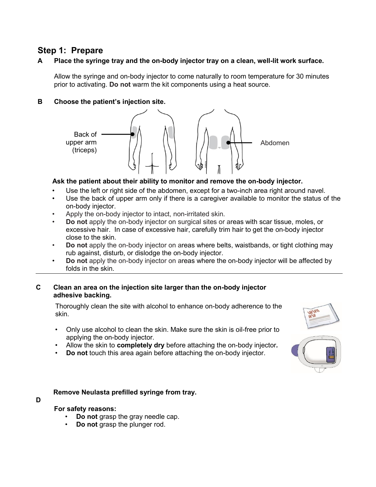# **Step 1: Prepare**

## **A Place the syringe tray and the on-body injector tray on a clean, well-lit work surface.**

Allow the syringe and on-body injector to come naturally to room temperature for 30 minutes prior to activating. **Do not** warm the kit components using a heat source.

## **B Choose the patient's injection site.**



## **Ask the patient about their ability to monitor and remove the on-body injector.**

- Use the left or right side of the abdomen, except for a two-inch area right around navel.
- Use the back of upper arm only if there is a caregiver available to monitor the status of the on-body injector.
- Apply the on-body injector to intact, non-irritated skin.
- **Do not** apply the on-body injector on surgical sites or areas with scar tissue, moles, or excessive hair. In case of excessive hair, carefully trim hair to get the on-body injector close to the skin.
- **Do not** apply the on-body injector on areas where belts, waistbands, or tight clothing may rub against, disturb, or dislodge the on-body injector.
- **Do not** apply the on-body injector on areas where the on-body injector will be affected by folds in the skin.

### **C Clean an area on the injection site larger than the on-body injector adhesive backing.**

Thoroughly clean the site with alcohol to enhance on-body adherence to the skin.

- Only use alcohol to clean the skin. Make sure the skin is oil-free prior to applying the on-body injector.
- Allow the skin to **completely dry** before attaching the on-body injector*.*
- **Do not** touch this area again before attaching the on-body injector.

## **D Remove Neulasta prefilled syringe from tray.**

### **D**

### **For safety reasons:**

- **Do not** grasp the gray needle cap.
- **Do not** grasp the plunger rod.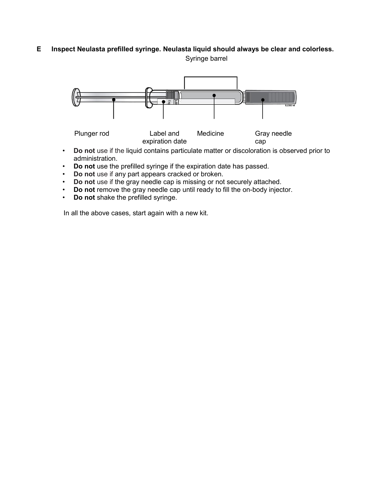# **E Inspect Neulasta prefilled syringe. Neulasta liquid should always be clear and colorless.**

Syringe barrel



expiration date cap • **Do not** use if the liquid contains particulate matter or discoloration is observed prior to administration.

- **Do not** use the prefilled syringe if the expiration date has passed.
- **Do not** use if any part appears cracked or broken.
- **Do not** use if the gray needle cap is missing or not securely attached.
- **Do not** remove the gray needle cap until ready to fill the on-body injector.
- **Do not** shake the prefilled syringe.

In all the above cases, start again with a new kit.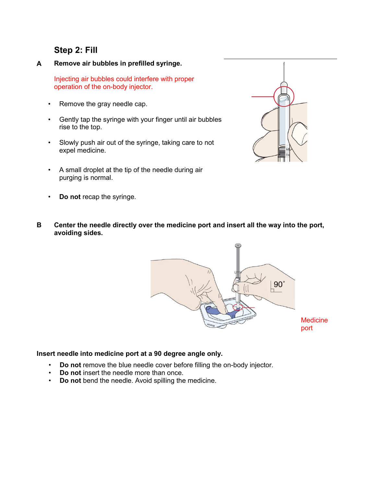# **Step 2: Fill**

**A Remove air bubbles in prefilled syringe.**

Injecting air bubbles could interfere with proper operation of the on-body injector.

- Remove the gray needle cap.
- Gently tap the syringe with your finger until air bubbles rise to the top.
- Slowly push air out of the syringe, taking care to not expel medicine.
- A small droplet at the tip of the needle during air purging is normal.
- **Do not** recap the syringe.



**B Center the needle directly over the medicine port and insert all the way into the port, avoiding sides.**



### **Insert needle into medicine port at a 90 degree angle only.**

- **Do not** remove the blue needle cover before filling the on-body injector.
- **Do not** insert the needle more than once.
- **Do not** bend the needle. Avoid spilling the medicine.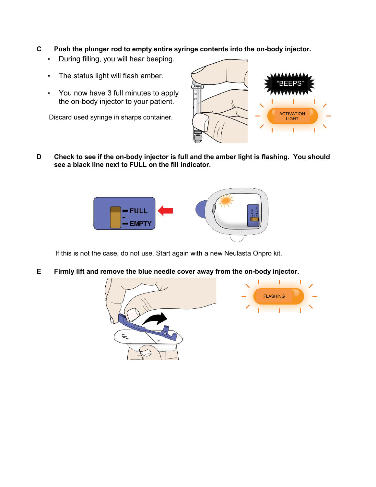- **C Push the plunger rod to empty entire syringe contents into the on-body injector.** 
	- During filling, you will hear beeping.
	- The status light will flash amber.
	- You now have 3 full minutes to apply the on-body injector to your patient.

Discard used syringe in sharps container.



**D Check to see if the on-body injector is full and the amber light is flashing. You should see a black line next to FULL on the fill indicator.**



If this is not the case, do not use. Start again with a new Neulasta Onpro kit.

**E Firmly lift and remove the blue needle cover away from the on-body injector.**

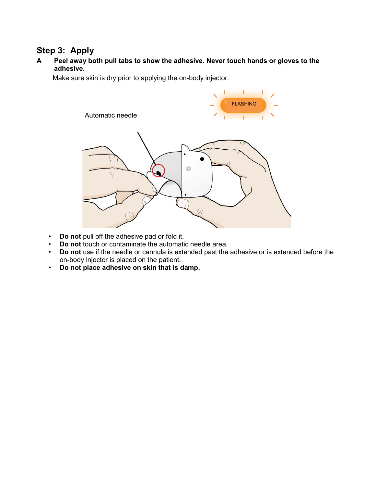# **Step 3: Apply**

**A Peel away both pull tabs to show the adhesive. Never touch hands or gloves to the adhesive.**

Make sure skin is dry prior to applying the on-body injector.



- **Do not** pull off the adhesive pad or fold it.
- **Do not** touch or contaminate the automatic needle area.
- **Do not** use if the needle or cannula is extended past the adhesive or is extended before the on-body injector is placed on the patient.
- **Do not place adhesive on skin that is damp.**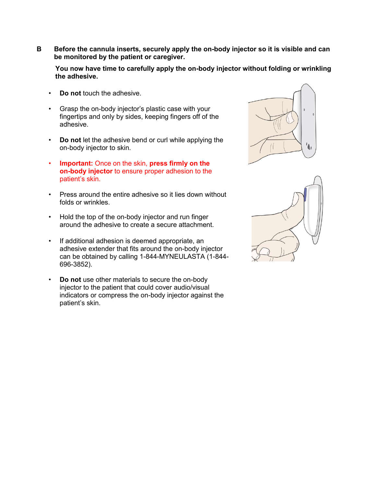**B Before the cannula inserts, securely apply the on-body injector so it is visible and can be monitored by the patient or caregiver.**

**You now have time to carefully apply the on-body injector without folding or wrinkling the adhesive.**

- **Do not** touch the adhesive.
- Grasp the on-body injector's plastic case with your fingertips and only by sides, keeping fingers off of the adhesive.
- **Do not** let the adhesive bend or curl while applying the on-body injector to skin.
- **Important:** Once on the skin, **press firmly on the on-body injector** to ensure proper adhesion to the patient's skin.
- Press around the entire adhesive so it lies down without folds or wrinkles.
- Hold the top of the on-body injector and run finger around the adhesive to create a secure attachment.
- If additional adhesion is deemed appropriate, an adhesive extender that fits around the on-body injector can be obtained by calling 1-844-MYNEULASTA (1-844- 696-3852).
- **Do not** use other materials to secure the on-body injector to the patient that could cover audio/visual indicators or compress the on-body injector against the patient's skin.



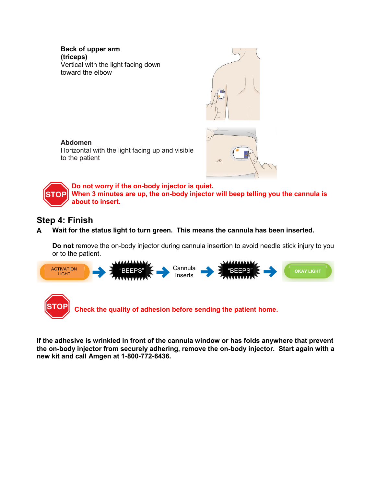**Back of upper arm (triceps)** Vertical with the light facing down toward the elbow



### **Abdomen**

Horizontal with the light facing up and visible to the patient



**Do not worry if the on-body injector is quiet. When 3 minutes are up, the on-body injector will beep telling you the cannula is**  STOPI **about to insert.**

# **Step 4: Finish**

**A Wait for the status light to turn green. This means the cannula has been inserted.**

**Do not** remove the on-body injector during cannula insertion to avoid needle stick injury to you or to the patient.



**If the adhesive is wrinkled in front of the cannula window or has folds anywhere that prevent the on-body injector from securely adhering, remove the on-body injector. Start again with a new kit and call Amgen at 1-800-772-6436.**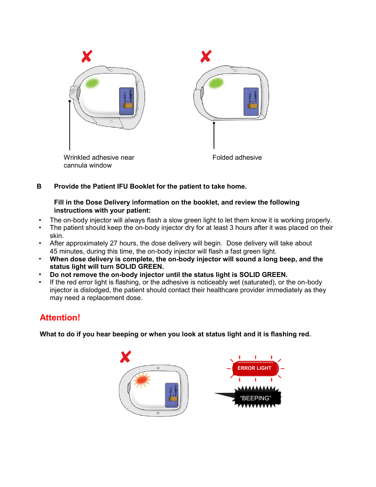

**B Provide the Patient IFU Booklet for the patient to take home.** 

### **Fill in the Dose Delivery information on the booklet, and review the following instructions with your patient:**

- The on-body injector will always flash a slow green light to let them know it is working properly.
- The patient should keep the on-body injector dry for at least 3 hours after it was placed on their skin.
- After approximately 27 hours, the dose delivery will begin. Dose delivery will take about 45 minutes, during this time, the on-body injector will flash a fast green light.
- **When dose delivery is complete, the on-body injector will sound a long beep, and the status light will turn SOLID GREEN.**
- **Do not remove the on-body injector until the status light is SOLID GREEN.**
- If the red error light is flashing, or the adhesive is noticeably wet (saturated), or the on-body injector is dislodged, the patient should contact their healthcare provider immediately as they may need a replacement dose.

# **Attention!**

**What to do if you hear beeping or when you look at status light and it is flashing red.**

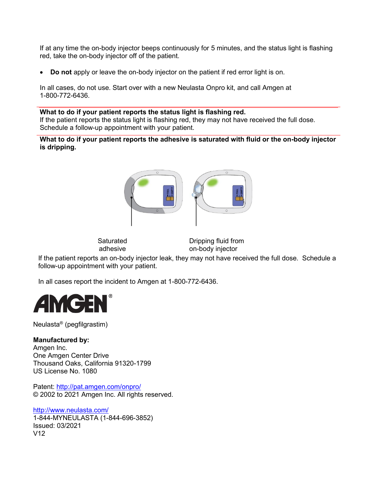If at any time the on-body injector beeps continuously for 5 minutes, and the status light is flashing red, take the on-body injector off of the patient.

**Do not** apply or leave the on-body injector on the patient if red error light is on.

In all cases, do not use. Start over with a new Neulasta Onpro kit, and call Amgen at 1-800-772-6436.

### **What to do if your patient reports the status light is flashing red.** If the patient reports the status light is flashing red, they may not have received the full dose. Schedule a follow-up appointment with your patient.

**What to do if your patient reports the adhesive is saturated with fluid or the on-body injector is dripping.**



**Saturated** adhesive

Dripping fluid from on-body injector

If the patient reports an on-body injector leak, they may not have received the full dose. Schedule a follow-up appointment with your patient.

In all cases report the incident to Amgen at 1-800-772-6436.



Neulasta® (pegfilgrastim)

### **Manufactured by:**

Amgen Inc. One Amgen Center Drive Thousand Oaks, California 91320-1799 US License No. 1080

Patent: <http://pat.amgen.com/onpro/> © 2002 to 2021 Amgen Inc. All rights reserved.

<http://www.neulasta.com/> 1-844-MYNEULASTA (1-844-696-3852)

Issued: 03/2021 V12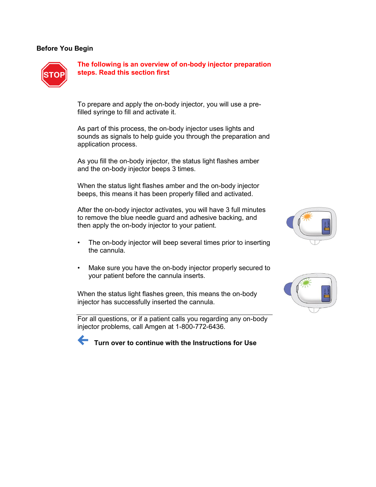#### **Before You Begin**



**The following is an overview of on-body injector preparation steps. Read this section first**

To prepare and apply the on-body injector, you will use a prefilled syringe to fill and activate it.

As part of this process, the on-body injector uses lights and sounds as signals to help guide you through the preparation and application process.

As you fill the on-body injector, the status light flashes amber and the on-body injector beeps 3 times.

When the status light flashes amber and the on-body injector beeps, this means it has been properly filled and activated.

After the on-body injector activates, you will have 3 full minutes to remove the blue needle guard and adhesive backing, and then apply the on-body injector to your patient.

- The on-body injector will beep several times prior to inserting the cannula.
- Make sure you have the on-body injector properly secured to your patient before the cannula inserts.

When the status light flashes green, this means the on-body injector has successfully inserted the cannula.

For all questions, or if a patient calls you regarding any on-body injector problems, call Amgen at 1-800-772-6436.



 **Turn over to continue with the Instructions for Use**



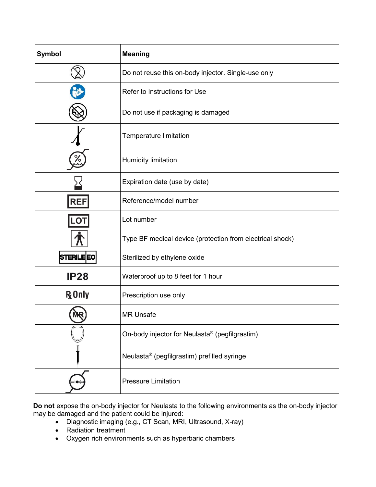| <b>Symbol</b>     | <b>Meaning</b>                                             |
|-------------------|------------------------------------------------------------|
|                   | Do not reuse this on-body injector. Single-use only        |
|                   | Refer to Instructions for Use                              |
|                   | Do not use if packaging is damaged                         |
|                   | Temperature limitation                                     |
| ∕∘                | Humidity limitation                                        |
|                   | Expiration date (use by date)                              |
| <b>REF</b>        | Reference/model number                                     |
| <b>LOT</b>        | Lot number                                                 |
|                   | Type BF medical device (protection from electrical shock)  |
| <b>STERILE EO</b> | Sterilized by ethylene oxide                               |
| <b>IP28</b>       | Waterproof up to 8 feet for 1 hour                         |
| <b>R</b> Only     | Prescription use only                                      |
|                   | <b>MR Unsafe</b>                                           |
|                   | On-body injector for Neulasta <sup>®</sup> (pegfilgrastim) |
|                   | Neulasta® (pegfilgrastim) prefilled syringe                |
|                   | <b>Pressure Limitation</b>                                 |

**Do not** expose the on-body injector for Neulasta to the following environments as the on-body injector may be damaged and the patient could be injured:

- Diagnostic imaging (e.g., CT Scan, MRI, Ultrasound, X-ray)
- Radiation treatment
- Oxygen rich environments such as hyperbaric chambers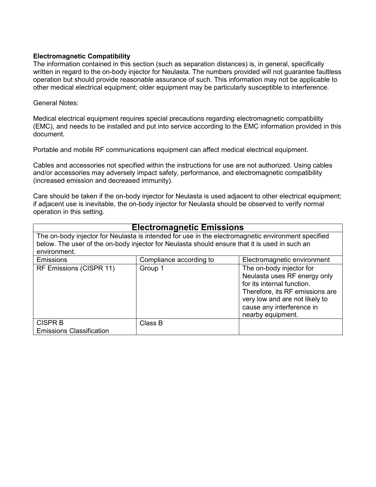### **Electromagnetic Compatibility**

The information contained in this section (such as separation distances) is, in general, specifically written in regard to the on-body injector for Neulasta. The numbers provided will not guarantee faultless operation but should provide reasonable assurance of such. This information may not be applicable to other medical electrical equipment; older equipment may be particularly susceptible to interference.

### General Notes:

Medical electrical equipment requires special precautions regarding electromagnetic compatibility (EMC), and needs to be installed and put into service according to the EMC information provided in this document.

Portable and mobile RF communications equipment can affect medical electrical equipment.

Cables and accessories not specified within the instructions for use are not authorized. Using cables and/or accessories may adversely impact safety, performance, and electromagnetic compatibility (increased emission and decreased immunity).

Care should be taken if the on-body injector for Neulasta is used adjacent to other electrical equipment; if adjacent use is inevitable, the on-body injector for Neulasta should be observed to verify normal operation in this setting.

## **Electromagnetic Emissions**

The on-body injector for Neulasta is intended for use in the electromagnetic environment specified below. The user of the on-body injector for Neulasta should ensure that it is used in such an environment.

| Emissions                                         | Compliance according to | Electromagnetic environment                                                                                                                                                                                   |
|---------------------------------------------------|-------------------------|---------------------------------------------------------------------------------------------------------------------------------------------------------------------------------------------------------------|
| RF Emissions (CISPR 11)                           | Group 1                 | The on-body injector for<br>Neulasta uses RF energy only<br>for its internal function.<br>Therefore, its RF emissions are<br>very low and are not likely to<br>cause any interference in<br>nearby equipment. |
| <b>CISPR B</b><br><b>Emissions Classification</b> | Class B                 |                                                                                                                                                                                                               |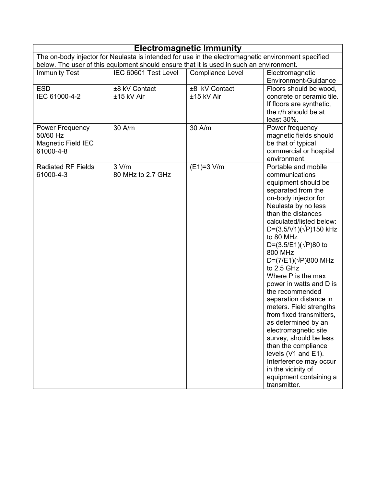| <b>Electromagnetic Immunity</b>                                                                    |                             |                                                                                         |                                                                                                                                                                                                                                                                                                                                                                                                                                                                                                                                                                                                                                                                                                 |
|----------------------------------------------------------------------------------------------------|-----------------------------|-----------------------------------------------------------------------------------------|-------------------------------------------------------------------------------------------------------------------------------------------------------------------------------------------------------------------------------------------------------------------------------------------------------------------------------------------------------------------------------------------------------------------------------------------------------------------------------------------------------------------------------------------------------------------------------------------------------------------------------------------------------------------------------------------------|
| The on-body injector for Neulasta is intended for use in the electromagnetic environment specified |                             |                                                                                         |                                                                                                                                                                                                                                                                                                                                                                                                                                                                                                                                                                                                                                                                                                 |
|                                                                                                    |                             | below. The user of this equipment should ensure that it is used in such an environment. |                                                                                                                                                                                                                                                                                                                                                                                                                                                                                                                                                                                                                                                                                                 |
| <b>Immunity Test</b>                                                                               | IEC 60601 Test Level        | <b>Compliance Level</b>                                                                 | Electromagnetic<br>Environment-Guidance                                                                                                                                                                                                                                                                                                                                                                                                                                                                                                                                                                                                                                                         |
| <b>ESD</b><br>IEC 61000-4-2                                                                        | ±8 kV Contact<br>±15 kV Air | ±8 kV Contact<br>±15 kV Air                                                             | Floors should be wood,<br>concrete or ceramic tile.<br>If floors are synthetic,<br>the r/h should be at<br>least 30%.                                                                                                                                                                                                                                                                                                                                                                                                                                                                                                                                                                           |
| <b>Power Frequency</b><br>50/60 Hz<br><b>Magnetic Field IEC</b><br>61000-4-8                       | 30 A/m                      | 30 A/m                                                                                  | Power frequency<br>magnetic fields should<br>be that of typical<br>commercial or hospital<br>environment.                                                                                                                                                                                                                                                                                                                                                                                                                                                                                                                                                                                       |
| <b>Radiated RF Fields</b><br>61000-4-3                                                             | 3 V/m<br>80 MHz to 2.7 GHz  | $(E1)=3$ V/m                                                                            | Portable and mobile<br>communications<br>equipment should be<br>separated from the<br>on-body injector for<br>Neulasta by no less<br>than the distances<br>calculated/listed below:<br>$D=(3.5/V1)(\sqrt{P})150$ kHz<br>to 80 MHz<br>D= $(3.5/E1)(\sqrt{P})80$ to<br>800 MHz<br>$D=(7/E1)(\sqrt{P})800$ MHz<br>to 2.5 GHz<br>Where P is the max<br>power in watts and D is<br>the recommended<br>separation distance in<br>meters. Field strengths<br>from fixed transmitters.<br>as determined by an<br>electromagnetic site<br>survey, should be less<br>than the compliance<br>levels (V1 and E1).<br>Interference may occur<br>in the vicinity of<br>equipment containing a<br>transmitter. |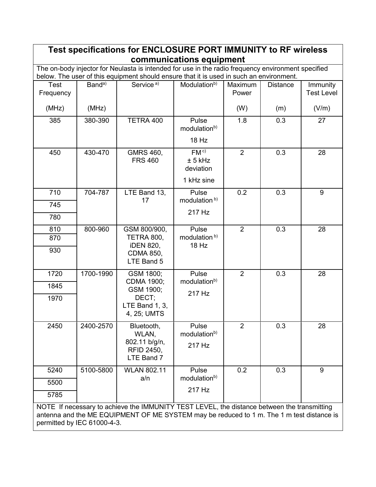| Test specifications for ENCLOSURE PORT IMMUNITY to RF wireless                                                                                                                                                          |                    |                                                                                                                                                                                               |                                             |                  |                 |                               |
|-------------------------------------------------------------------------------------------------------------------------------------------------------------------------------------------------------------------------|--------------------|-----------------------------------------------------------------------------------------------------------------------------------------------------------------------------------------------|---------------------------------------------|------------------|-----------------|-------------------------------|
|                                                                                                                                                                                                                         |                    |                                                                                                                                                                                               | communications equipment                    |                  |                 |                               |
|                                                                                                                                                                                                                         |                    | The on-body injector for Neulasta is intended for use in the radio frequency environment specified<br>below. The user of this equipment should ensure that it is used in such an environment. |                                             |                  |                 |                               |
| Test<br>Frequency                                                                                                                                                                                                       | Band <sup>a)</sup> | Service <sup>a)</sup>                                                                                                                                                                         | Modulation <sup>b)</sup>                    | Maximum<br>Power | <b>Distance</b> | Immunity<br><b>Test Level</b> |
| (MHz)                                                                                                                                                                                                                   | (MHz)              |                                                                                                                                                                                               |                                             | (W)              | (m)             | (V/m)                         |
| 385                                                                                                                                                                                                                     | 380-390            | TETRA 400                                                                                                                                                                                     | Pulse<br>modulation <sup>b)</sup>           | 1.8              | 0.3             | 27                            |
|                                                                                                                                                                                                                         |                    |                                                                                                                                                                                               | 18 Hz                                       |                  |                 |                               |
| 450                                                                                                                                                                                                                     | 430-470            | GMRS 460,<br><b>FRS 460</b>                                                                                                                                                                   | FM <sup>c</sup><br>± 5 kHz<br>deviation     | 2                | 0.3             | 28                            |
|                                                                                                                                                                                                                         |                    |                                                                                                                                                                                               | 1 kHz sine                                  |                  |                 |                               |
| 710                                                                                                                                                                                                                     | 704-787            | LTE Band 13,<br>17                                                                                                                                                                            | Pulse<br>modulation <sup>b)</sup>           | 0.2              | 0.3             | 9                             |
| 745                                                                                                                                                                                                                     |                    |                                                                                                                                                                                               | 217 Hz                                      |                  |                 |                               |
| 780                                                                                                                                                                                                                     |                    |                                                                                                                                                                                               |                                             |                  |                 |                               |
| 810                                                                                                                                                                                                                     | 800-960            | GSM 800/900,<br>TETRA 800,                                                                                                                                                                    | Pulse<br>modulation <sup>b)</sup>           | 2                | 0.3             | 28                            |
| 870                                                                                                                                                                                                                     |                    | <b>iDEN 820,</b>                                                                                                                                                                              | 18 Hz                                       |                  |                 |                               |
| 930                                                                                                                                                                                                                     |                    | <b>CDMA 850,</b><br>LTE Band 5                                                                                                                                                                |                                             |                  |                 |                               |
| 1720                                                                                                                                                                                                                    | 1700-1990          | GSM 1800;                                                                                                                                                                                     | Pulse                                       | $\overline{2}$   | 0.3             | 28                            |
| 1845                                                                                                                                                                                                                    |                    | CDMA 1900;<br>GSM 1900;                                                                                                                                                                       | modulation <sup>b)</sup>                    |                  |                 |                               |
| 1970                                                                                                                                                                                                                    |                    | DECT;<br>LTE Band 1, 3,<br>4, 25; UMTS                                                                                                                                                        | 217 Hz                                      |                  |                 |                               |
| 2450                                                                                                                                                                                                                    | 2400-2570          | Bluetooth,<br>WLAN,<br>802.11 b/g/n,                                                                                                                                                          | Pulse<br>modulation <sup>b)</sup><br>217 Hz | 2                | 0.3             | 28                            |
|                                                                                                                                                                                                                         |                    | <b>RFID 2450,</b><br>LTE Band 7                                                                                                                                                               |                                             |                  |                 |                               |
| 5240                                                                                                                                                                                                                    | 5100-5800          | <b>WLAN 802.11</b>                                                                                                                                                                            | Pulse                                       | 0.2              | 0.3             | 9                             |
| 5500                                                                                                                                                                                                                    |                    | a/n                                                                                                                                                                                           | modulation <sup>b)</sup>                    |                  |                 |                               |
| 5785                                                                                                                                                                                                                    |                    |                                                                                                                                                                                               | 217 Hz                                      |                  |                 |                               |
| NOTE If necessary to achieve the IMMUNITY TEST LEVEL, the distance between the transmitting<br>antenna and the ME EQUIPMENT OF ME SYSTEM may be reduced to 1 m. The 1 m test distance is<br>permitted by IEC 61000-4-3. |                    |                                                                                                                                                                                               |                                             |                  |                 |                               |